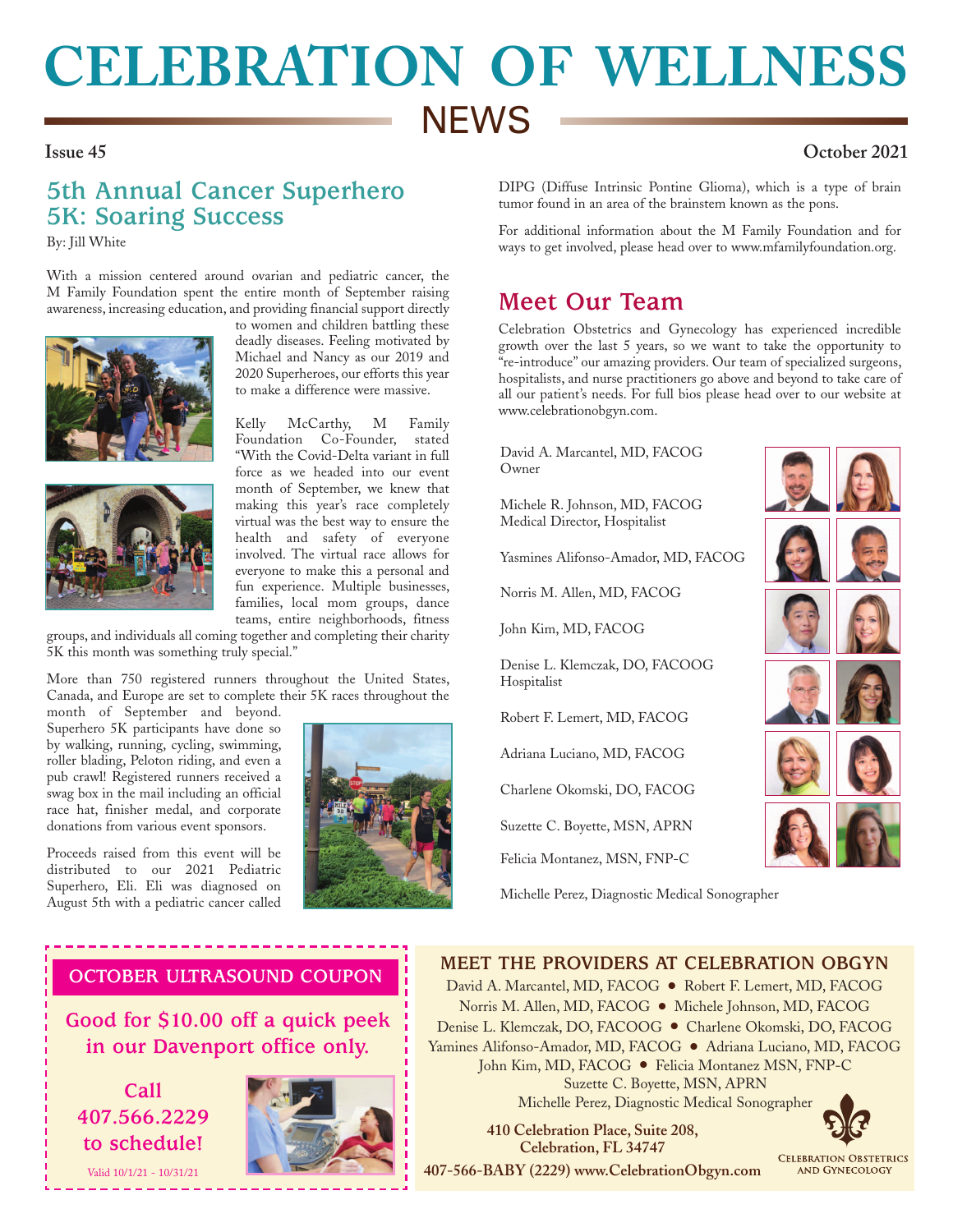# **CELEBRATION OF WELLNESS NEWS**

### **Issue 45 October 2021**

# **5th Annual Cancer Superhero 5K: Soaring Success**

By: Jill White

With a mission centered around ovarian and pediatric cancer, the M Family Foundation spent the entire month of September raising awareness, increasing education, and providing financial support directly





to women and children battling these deadly diseases. Feeling motivated by Michael and Nancy as our 2019 and 2020 Superheroes, our efforts this year to make a difference were massive.

Kelly McCarthy, M Family Foundation Co-Founder, stated "With the Covid-Delta variant in full force as we headed into our event month of September, we knew that making this year's race completely virtual was the best way to ensure the health and safety of everyone involved. The virtual race allows for everyone to make this a personal and fun experience. Multiple businesses, families, local mom groups, dance teams, entire neighborhoods, fitness

groups, and individuals all coming together and completing their charity 5K this month was something truly special."

More than 750 registered runners throughout the United States, Canada, and Europe are set to complete their 5K races throughout the month of September and beyond.

Superhero 5K participants have done so by walking, running, cycling, swimming, roller blading, Peloton riding, and even a pub crawl! Registered runners received a swag box in the mail including an official race hat, finisher medal, and corporate donations from various event sponsors.

Proceeds raised from this event will be distributed to our 2021 Pediatric Superhero, Eli. Eli was diagnosed on August 5th with a pediatric cancer called



DIPG (Diffuse Intrinsic Pontine Glioma), which is a type of brain tumor found in an area of the brainstem known as the pons.

For additional information about the M Family Foundation and for ways to get involved, please head over to www.mfamilyfoundation.org.

## **Meet Our Team**

Celebration Obstetrics and Gynecology has experienced incredible growth over the last 5 years, so we want to take the opportunity to <sup>"</sup>re-introduce" our amazing providers. Our team of specialized surgeons, hospitalists, and nurse practitioners go above and beyond to take care of all our patient's needs. For full bios please head over to our website at www.celebrationobgyn.com.

David A. Marcantel, MD, FACOG Owner

Michele R. Johnson, MD, FACOG Medical Director, Hospitalist

Yasmines Alifonso-Amador, MD, FACOG

Norris M. Allen, MD, FACOG

John Kim, MD, FACOG

Denise L. Klemczak, DO, FACOOG Hospitalist

Robert F. Lemert, MD, FACOG

Adriana Luciano, MD, FACOG

Charlene Okomski, DO, FACOG

Suzette C. Boyette, MSN, APRN

Felicia Montanez, MSN, FNP-C

Michelle Perez, Diagnostic Medical Sonographer



### **OCTOBER ULTRASOUND COUPON**

-------------------

**Good for \$10.00 off a quick peek in our Davenport office only.**

**Call 407.566.2229 to schedule!**

Valid 10/1/21 - 10/31/21



**MEET THE PROVIDERS AT CELEBRATION OBGYN** David A. Marcantel, MD, FACOG ● Robert F. Lemert, MD, FACOG

Norris M. Allen, MD, FACOG ● Michele Johnson, MD, FACOG Denise L. Klemczak, DO, FACOOG ● Charlene Okomski, DO, FACOG Yamines Alifonso-Amador, MD, FACOG ● Adriana Luciano, MD, FACOG John Kim, MD, FACOG ● Felicia Montanez MSN, FNP-C Suzette C. Boyette, MSN, APRN Michelle Perez, Diagnostic Medical Sonographer

 **410 Celebration Place, Suite 208, Celebration, FL 34747**

**407-566-BABY (2229) www.CelebrationObgyn.com**

**CELEBRATION OBSTETRICS AND GYNECOLOGY**